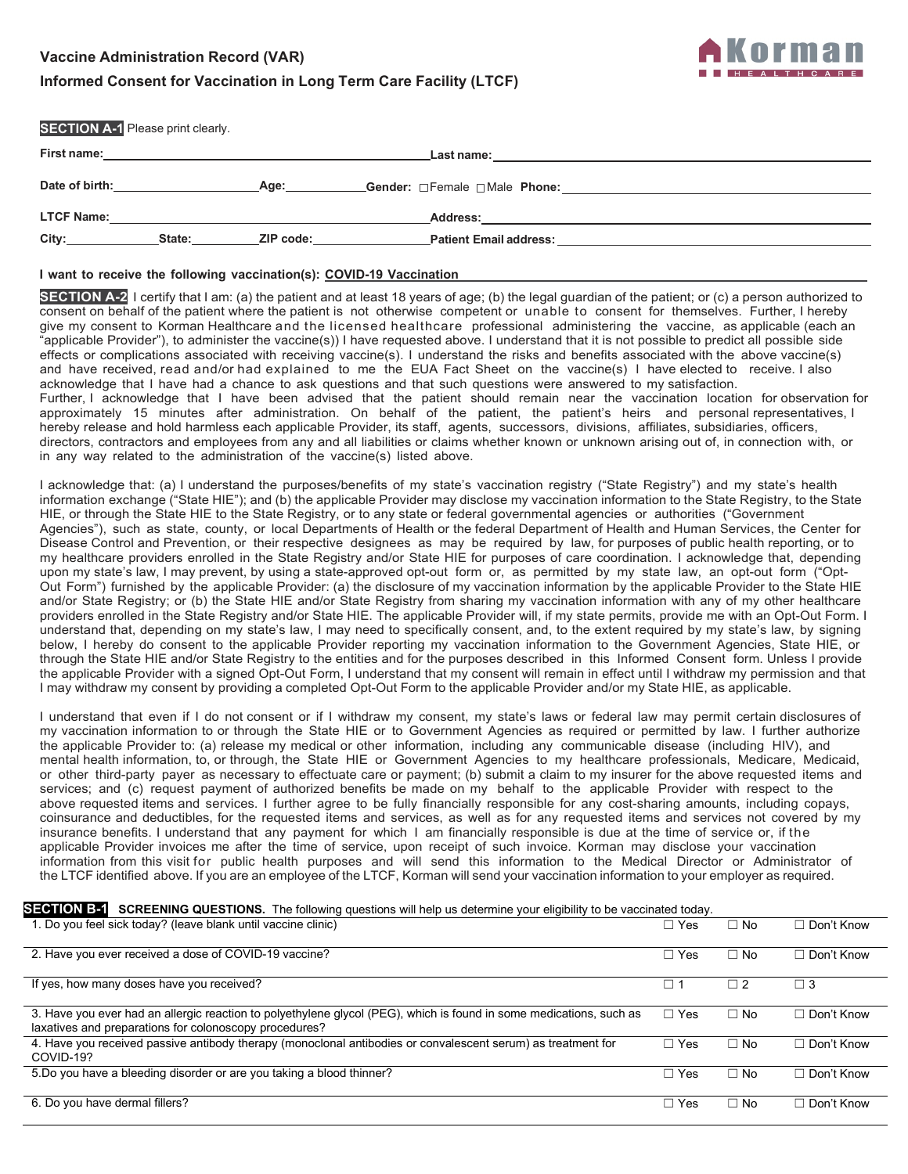# **Vaccine Administration Record (VAR)**

# **Informed Consent for Vaccination in Long Term Care Facility (LTCF)**



| <b>SECTION A-1 Please print clearly.</b> |        |                                                                                                                |                                                                                                                  |
|------------------------------------------|--------|----------------------------------------------------------------------------------------------------------------|------------------------------------------------------------------------------------------------------------------|
|                                          |        |                                                                                                                | Last name: will be a series of the contract of the contract of the contract of the contract of the contract of   |
| Date of birth:                           |        | Age:                                                                                                           |                                                                                                                  |
| <b>LTCF Name:</b>                        |        |                                                                                                                |                                                                                                                  |
| City:                                    | State: | ZIP code: will be a series of the series of the series of the series of the series of the series of the series | Patient Email address: with a state of the control of the control of the control of the control of the control o |
|                                          |        |                                                                                                                |                                                                                                                  |

### **I want to receive the following vaccination(s): COVID-19 Vaccination**

**SECTION A-2** I certify that I am: (a) the patient and at least 18 years of age; (b) the legal guardian of the patient; or (c) a person authorized to consent on behalf of the patient where the patient is not otherwise competent or unable to consent for themselves. Further, I hereby give my consent to Korman Healthcare and the licensed healthcare professional administering the vaccine, as applicable (each an "applicable Provider"), to administer the vaccine(s)) I have requested above. I understand that it is not possible to predict all possible side effects or complications associated with receiving vaccine(s). I understand the risks and benefits associated with the above vaccine(s) and have received, read and/or had explained to me the EUA Fact Sheet on the vaccine(s) I have elected to receive. I also acknowledge that I have had a chance to ask questions and that such questions were answered to my satisfaction. Further, I acknowledge that I have been advised that the patient should remain near the vaccination location for observation for approximately 15 minutes after administration. On behalf of the patient, the patient's heirs and personal representatives, I hereby release and hold harmless each applicable Provider, its staff, agents, successors, divisions, affiliates, subsidiaries, officers, directors, contractors and employees from any and all liabilities or claims whether known or unknown arising out of, in connection with, or in any way related to the administration of the vaccine(s) listed above.

I acknowledge that: (a) I understand the purposes/benefits of my state's vaccination registry ("State Registry") and my state's health information exchange ("State HIE"); and (b) the applicable Provider may disclose my vaccination information to the State Registry, to the State HIE, or through the State HIE to the State Registry, or to any state or federal governmental agencies or authorities ("Government Agencies"), such as state, county, or local Departments of Health or the federal Department of Health and Human Services, the Center for Disease Control and Prevention, or their respective designees as may be required by law, for purposes of public health reporting, or to my healthcare providers enrolled in the State Registry and/or State HIE for purposes of care coordination. I acknowledge that, depending upon my state's law, I may prevent, by using a state-approved opt-out form or, as permitted by my state law, an opt-out form ("Opt-Out Form") furnished by the applicable Provider: (a) the disclosure of my vaccination information by the applicable Provider to the State HIE and/or State Registry; or (b) the State HIE and/or State Registry from sharing my vaccination information with any of my other healthcare providers enrolled in the State Registry and/or State HIE. The applicable Provider will, if my state permits, provide me with an Opt-Out Form. I understand that, depending on my state's law, I may need to specifically consent, and, to the extent required by my state's law, by signing below, I hereby do consent to the applicable Provider reporting my vaccination information to the Government Agencies, State HIE, or through the State HIE and/or State Registry to the entities and for the purposes described in this Informed Consent form. Unless I provide the applicable Provider with a signed Opt-Out Form, I understand that my consent will remain in effect until I withdraw my permission and that I may withdraw my consent by providing a completed Opt-Out Form to the applicable Provider and/or my State HIE, as applicable.

I understand that even if I do not consent or if I withdraw my consent, my state's laws or federal law may permit certain disclosures of my vaccination information to or through the State HIE or to Government Agencies as required or permitted by law. I further authorize the applicable Provider to: (a) release my medical or other information, including any communicable disease (including HIV), and mental health information, to, or through, the State HIE or Government Agencies to my healthcare professionals, Medicare, Medicaid, or other third-party payer as necessary to effectuate care or payment; (b) submit a claim to my insurer for the above requested items and services; and (c) request payment of authorized benefits be made on my behalf to the applicable Provider with respect to the above requested items and services. I further agree to be fully financially responsible for any cost-sharing amounts, including copays, coinsurance and deductibles, for the requested items and services, as well as for any requested items and services not covered by my insurance benefits. I understand that any payment for which I am financially responsible is due at the time of service or, if the applicable Provider invoices me after the time of service, upon receipt of such invoice. Korman may disclose your vaccination information from this visit for public health purposes and will send this information to the Medical Director or Administrator of the LTCF identified above. If you are an employee of the LTCF, Korman will send your vaccination information to your employer as required.

## **SECTION B-1** SCREENING QUESTIONS. The following questions will help us determine your eligibility to be vaccinated today.

| 1. Do you feel sick today? (leave blank until vaccine clinic)                                                                                                                 | $\Box$ Yes | $\Box$ No | $\Box$ Don't Know |
|-------------------------------------------------------------------------------------------------------------------------------------------------------------------------------|------------|-----------|-------------------|
| 2. Have you ever received a dose of COVID-19 vaccine?                                                                                                                         | $\Box$ Yes | $\Box$ No | $\Box$ Don't Know |
| If yes, how many doses have you received?                                                                                                                                     |            | $\Box$ 2  | 3 ר               |
| 3. Have you ever had an allergic reaction to polyethylene glycol (PEG), which is found in some medications, such as<br>laxatives and preparations for colonoscopy procedures? | $\Box$ Yes | $\Box$ No | $\Box$ Don't Know |
| 4. Have you received passive antibody therapy (monoclonal antibodies or convalescent serum) as treatment for<br>COVID-19?                                                     | $\Box$ Yes | $\Box$ No | $\Box$ Don't Know |
| 5. Do you have a bleeding disorder or are you taking a blood thinner?                                                                                                         | $\Box$ Yes | $\Box$ No | $\Box$ Don't Know |
| 6. Do you have dermal fillers?                                                                                                                                                | $\Box$ Yes | $\Box$ No | $\Box$ Don't Know |